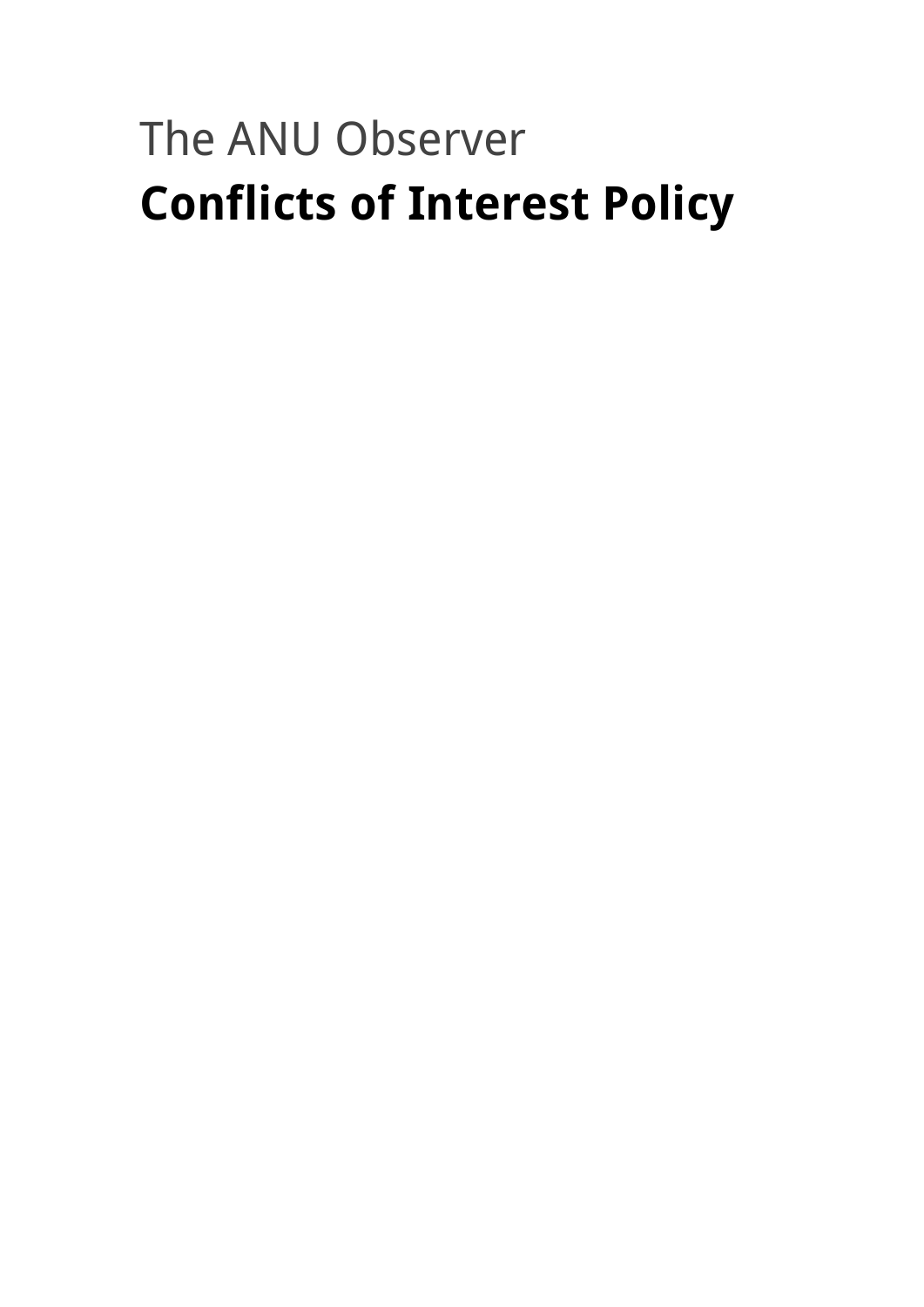# The ANU Observer **Conflicts of Interest Policy**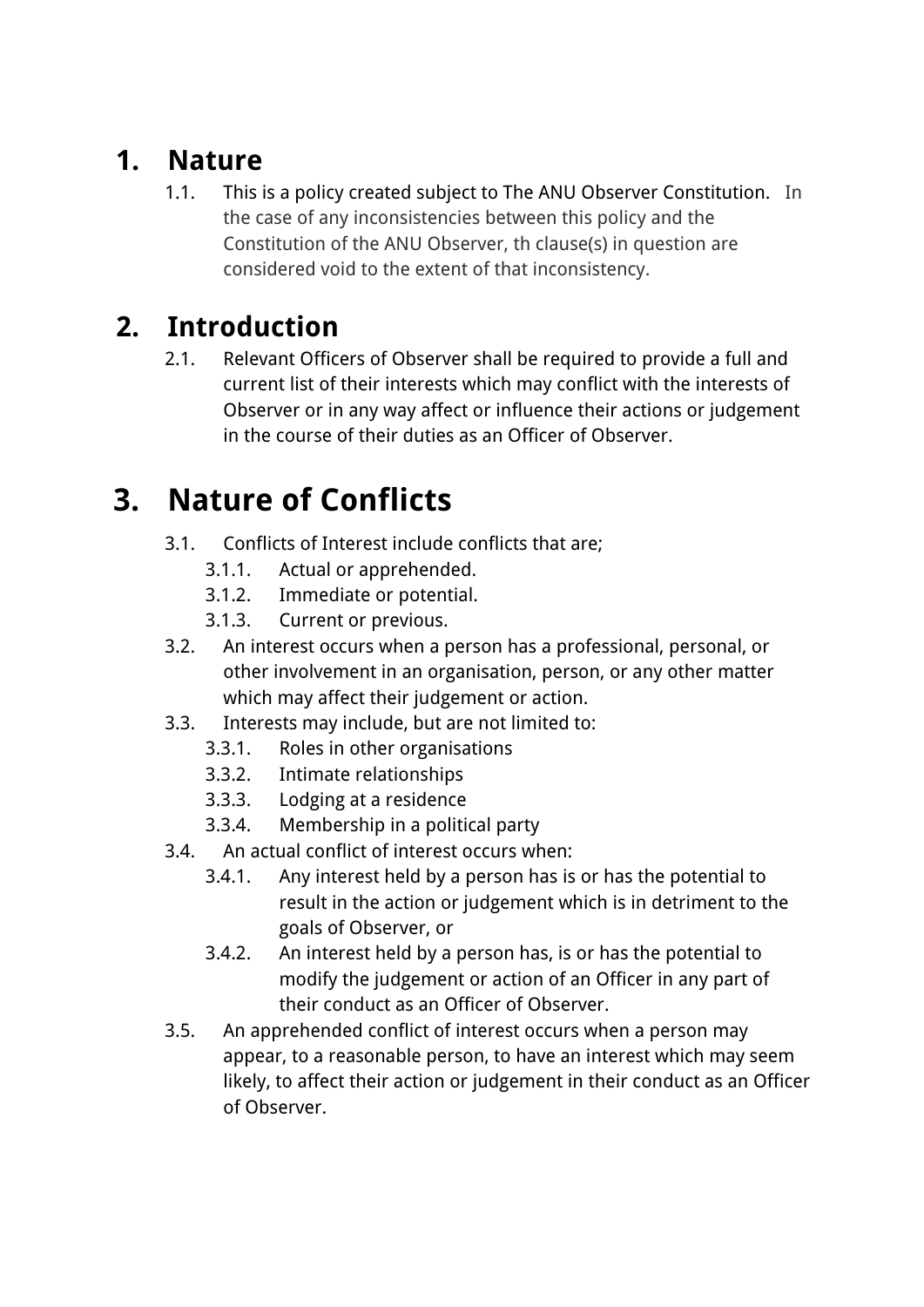#### **1. Nature**

1.1. This is a policy created subject to The ANU Observer Constitution. In the case of any inconsistencies between this policy and the Constitution of the ANU Observer, th clause(s) in question are considered void to the extent of that inconsistency.

#### **2. Introduction**

2.1. Relevant Officers of Observer shall be required to provide a full and current list of their interests which may conflict with the interests of Observer or in any way affect or influence their actions or judgement in the course of their duties as an Officer of Observer.

## **3. Nature of Conflicts**

- 3.1. Conflicts of Interest include conflicts that are;
	- 3.1.1. Actual or apprehended.
	- 3.1.2. Immediate or potential.
	- 3.1.3. Current or previous.
- 3.2. An interest occurs when a person has a professional, personal, or other involvement in an organisation, person, or any other matter which may affect their judgement or action.
- 3.3. Interests may include, but are not limited to:
	- 3.3.1. Roles in other organisations
	- 3.3.2. Intimate relationships
	- 3.3.3. Lodging at a residence
	- 3.3.4. Membership in a political party
- 3.4. An actual conflict of interest occurs when:
	- 3.4.1. Any interest held by a person has is or has the potential to result in the action or judgement which is in detriment to the goals of Observer, or
	- 3.4.2. An interest held by a person has, is or has the potential to modify the judgement or action of an Officer in any part of their conduct as an Officer of Observer.
- 3.5. An apprehended conflict of interest occurs when a person may appear, to a reasonable person, to have an interest which may seem likely, to affect their action or judgement in their conduct as an Officer of Observer.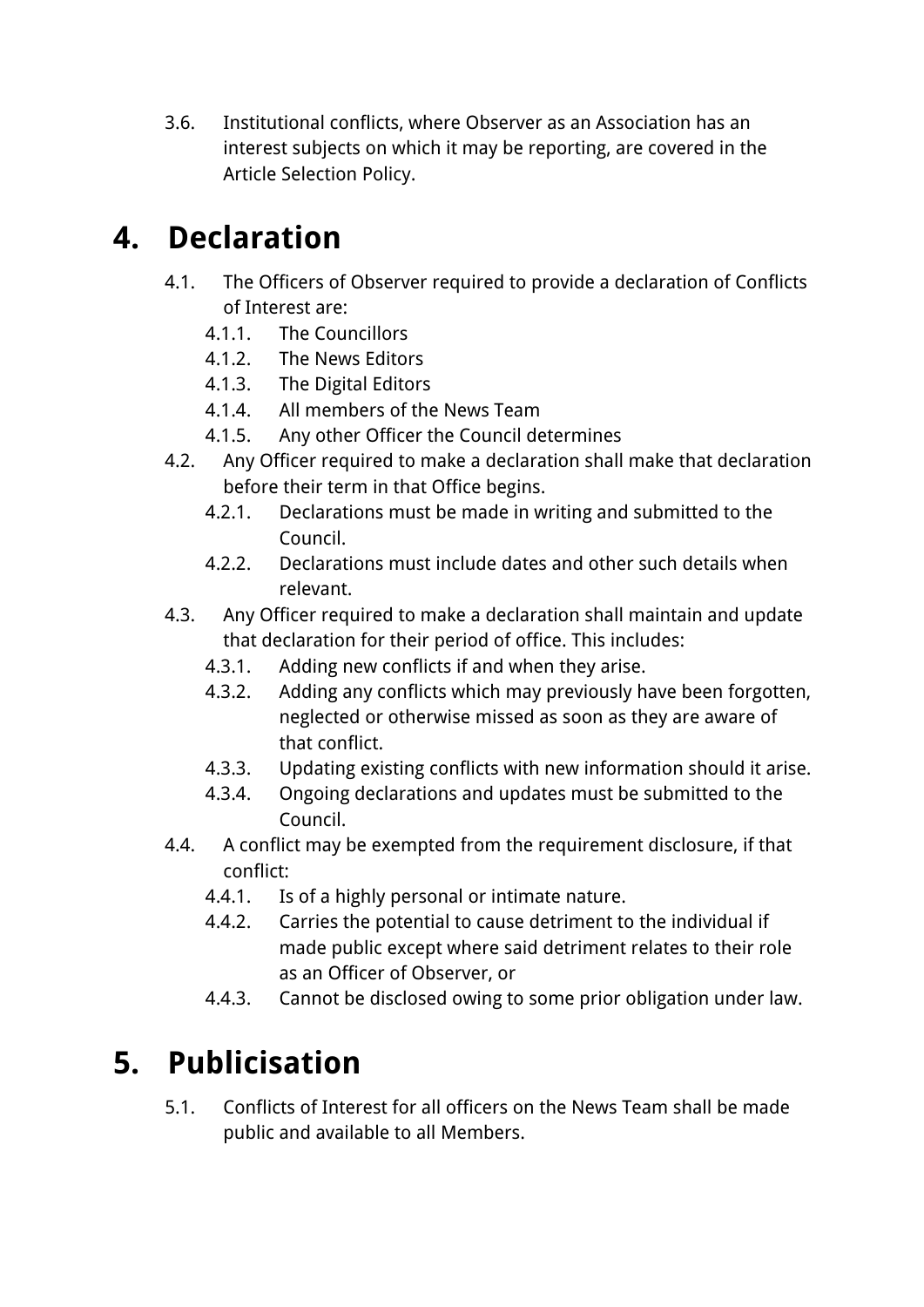3.6. Institutional conflicts, where Observer as an Association has an interest subjects on which it may be reporting, are covered in the Article Selection Policy.

### **4. Declaration**

- 4.1. The Officers of Observer required to provide a declaration of Conflicts of Interest are:
	- 4.1.1. The Councillors
	- 4.1.2. The News Editors
	- 4.1.3. The Digital Editors
	- 4.1.4. All members of the News Team
	- 4.1.5. Any other Officer the Council determines
- 4.2. Any Officer required to make a declaration shall make that declaration before their term in that Office begins.
	- 4.2.1. Declarations must be made in writing and submitted to the Council.
	- 4.2.2. Declarations must include dates and other such details when relevant.
- 4.3. Any Officer required to make a declaration shall maintain and update that declaration for their period of office. This includes:
	- 4.3.1. Adding new conflicts if and when they arise.
	- 4.3.2. Adding any conflicts which may previously have been forgotten, neglected or otherwise missed as soon as they are aware of that conflict.
	- 4.3.3. Updating existing conflicts with new information should it arise.
	- 4.3.4. Ongoing declarations and updates must be submitted to the Council.
- 4.4. A conflict may be exempted from the requirement disclosure, if that conflict:
	- 4.4.1. Is of a highly personal or intimate nature.
	- 4.4.2. Carries the potential to cause detriment to the individual if made public except where said detriment relates to their role as an Officer of Observer, or
	- 4.4.3. Cannot be disclosed owing to some prior obligation under law.

## **5. Publicisation**

5.1. Conflicts of Interest for all officers on the News Team shall be made public and available to all Members.